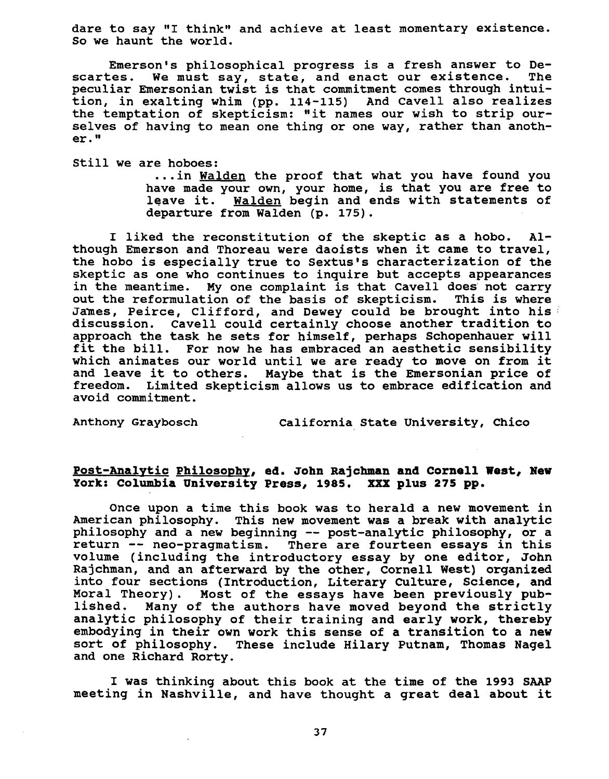dare to say "I think" and achieve at least momentary existence. So we haunt the world.

Emerson's philosophical progress is a fresh answer to Descartes. We must say, state, and enact our existence. The peculiar Emersonian twist is that commitment comes through intuition, in exalting whim (pp. 114-115) And Cavell also realizes the temptation of skepticism: "it names our wish to strip ourselves of having to mean one thing or one way, rather than another."

Still we are hoboes:

... in Walden the proof that what you have found you have made your own, your home, is that you are free to leave it. Walden begin and ends with statements of departure from Walden (p. 175).

I liked the reconstitution of the skeptic as a hobo. Although Emerson and Thoreau were daoists when it came to travel, the hobo is especially true to Sextus's characterization of the skeptic as one who continues to inquire but accepts appearances in the meantime. My one complaint is that Cavell does not carry<br>out the reformulation of the basis of skepticism. This is where out the reformulation of the basis of skepticism. James, Peirce, Clifford, and Dewey could be brought into his discussion. Cavell could certainly choose another tradition to approach the task he sets for himself, perhaps Schopenhauer will fit the bill. For now he has embraced an aesthetic sensibility which animates our world until we are ready to move on from it and leave it to others. Maybe that is the Emersonian price of freedom. Limited skepticism allows us to embrace edification and avoid commitment.

Anthony Graybosch California State University, Chico

## Post-Analytic Philosophy, ed. John Rajchman and Cornell West, Mew York: Columbia University Press, 1985. XXX plus 275 pp.

Once upon a time this book was to herald a new movement in American philosophy. This new movement was a break with analytic philosophy and a new beginning — post-analytic philosophy, or a return — neo-pragmatism. There are fourteen essays in this volume (including the introductory essay by one editor, John Rajchman, and an afterward by the other, Cornell West) organized into four sections (Introduction, Literary Culture, Science, and Moral Theory). Most of the essays have been previously published. Many of the authors have moved beyond the strictly analytic philosophy of their training and early work, thereby embodying in their own work this sense of a transition to a new sort of philosophy. These include Hilary Putnam, Thomas Nagel and one Richard Rorty.

I was thinking about this book at the time of the 1993 SAAP meeting in Nashville, and have thought a great deal about it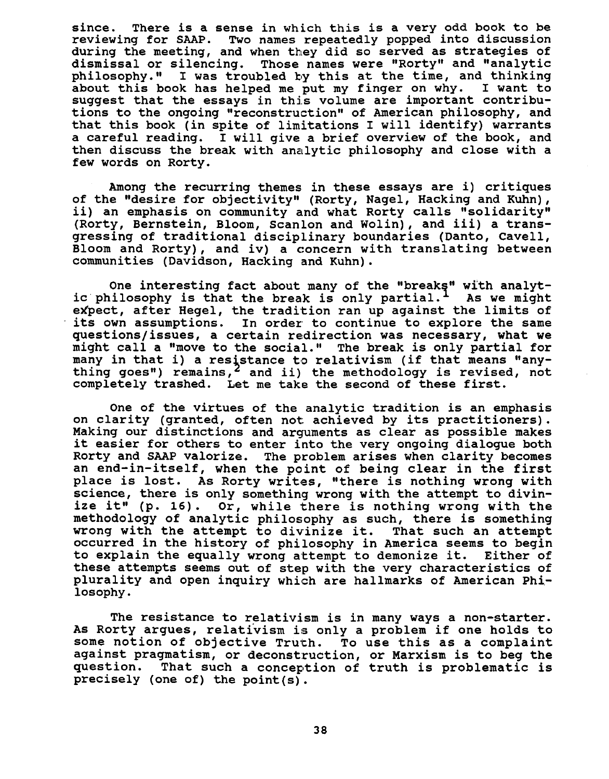since. There is a sense in which this is a very odd book to be reviewing for SAAP. Two names repeatedly popped into discussion during the meeting, and when they did so served as strategies of dismissal or silencing. Those names were "Rorty" and "analytic philosophy." I was troubled by this at the time, and thinking about this book has helped me put my finger on why. suggest that the essays in this volume are important contributions to the ongoing "reconstruction" of American philosophy, and that this book (in spite of limitations I will identify) warrants a careful reading. I will give a brief overview of the book, and then discuss the break with analytic philosophy and close with a few words on Rorty.

Among the recurring themes in these essays are i) critiques of the "desire for objectivity" (Rorty, Nagel, Hacking and Kuhn), ii) an emphasis on community and what Rorty calls "solidarity" (Rorty, Bernstein, Bloom, Scanlon and Wolin), and iii) a transgressing of traditional disciplinary boundaries (Danto, Cavell, Bloom and Rorty), and iv) a concern with translating between communities (Davidson, Hacking and Kuhn).

One interesting fact about many of the "breaks" with analytic philosophy is that the break is only partial.<sup>1</sup> As we might expect, after Hegel, the tradition ran up against the limits of its own assumptions. In order to continue to explore the same questions/issues, a certain redirection was necessary, what we might call a "move to the social." The break is only partial for many in that i) a resistance to relativism (if that means "anything goes") remains,<sup>2</sup> and ii) the methodology is revised, not completely trashed. Let me take the second of these first.

One of the virtues of the analytic tradition is an emphasis on clarity (granted, often not achieved by its practitioners). Making our distinctions and arguments as clear as possible makes it easier for others to enter into the very ongoing dialogue both Rorty and SAAP valorize. The problem arises when clarity becomes an end-in-itself, when the point of being clear in the first place is lost. As Rorty writes, "there is nothing wrong with science, there is only something wrong with the attempt to divinize it" (p. 16). Or, while there is nothing wrong with the methodology of analytic philosophy as such, there is something<br>wrong with the attempt to divinize it. That such an attempt wrong with the attempt to divinize it. occurred in the history of philosophy in America seems to begin to explain the equally wrong attempt to demonize it. Either of these attempts seems out of step with the very characteristics of plurality and open inquiry which are hallmarks of American Philosophy .

The resistance to relativism is in many ways a non-starter. As Rorty argues, relativism is only a problem if one holds to some notion of objective Truth. To use this as a complaint against pragmatism, or deconstruction, or Marxism is to beg the That such a conception of truth is problematic is precisely (one of) the point(s).

38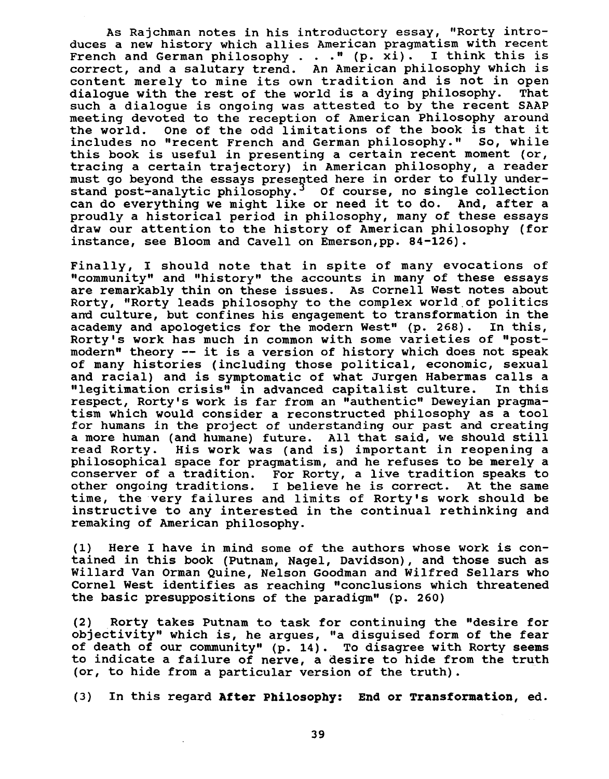As Rajchman notes in his introductory essay, "Rorty introduces a new history which allies American pragmatism with recent French and German philosophy . . ."  $(p. xi)$ . I think this is correct, and a salutary trend. An American philosophy which is content merely to mine its own tradition and is not in open<br>dialogue with the rest of the world is a dying philosophy. That dialogue with the rest of the world is a dying philosophy. such a dialogue is ongoing was attested to by the recent SAAP meeting devoted to the reception of American Philosophy around<br>the world. One of the odd limitations of the book is that it One of the odd limitations of the book is that it<br>"recent French and German philosophy." So, while includes no "recent French and German philosophy." this book is useful in presenting a certain recent moment (or, tracing a certain trajectory) in American philosophy, a reader must go beyond the essays presented here in order to fully understand post-analytic philosophy.<sup>3</sup> Of course, no single collection can do everything we might like or need it to do. And, after a proudly a historical period in philosophy, many of these essays draw our attention to the history of American philosophy (for instance, see Bloom and Cavell on Emerson,pp. 84-126).

Finally, I should note that in spite of many evocations of "community" and "history" the accounts in many of these essays are remarkably thin on these issues. As Cornell West notes about Rorty, "Rorty leads philosophy to the complex world.of politics and culture, but confines his engagement to transformation in the academy and apologetics for the modern West" (p. 268). In this, Rorty's work has much in common with some varieties of "postmodern" theory — it is a version of history which does not speak of many histories (including those political, economic, sexual and racial) and is symptomatic of what Jurgen Habermas calls a "legitimation crisis" in advanced capitalist culture. In this respect, Rorty's work is far from an "authentic" Deweyian pragmatism which would consider a reconstructed philosophy as a tool for humans in the project of understanding our past and creating a more human (and humane) future. All that said, we should still read Rorty. His work was (and is) important in reopening a philosophical space for pragmatism, and he refuses to be merely a conserver of a tradition. For Rorty, a live tradition speaks to other ongoing traditions. I believe he is correct. At the same time, the very failures and limits of Rorty's work should be instructive to any interested in the continual rethinking and remaking of American philosophy.

(1) Here I have in mind some of the authors whose work is contained in this book (Putnam, Nagel, Davidson) , and those such as Willard Van Orman Quine, Nelson Goodman and Wilfred Sellars who Cornel West identifies as reaching "conclusions which threatened the basic presuppositions of the paradigm" (p. 260)

(2) Rorty takes Putnam to task for continuing the "desire for objectivity" which is, he argues, "a disguised form of the fear of death of our community" (p. 14). To disagree with Rorty seems to indicate a failure of nerve, a desire to hide from the truth (or, to hide from a particular version of the truth).

(3) In this regard After Philosophy: End or Transformation, ed.